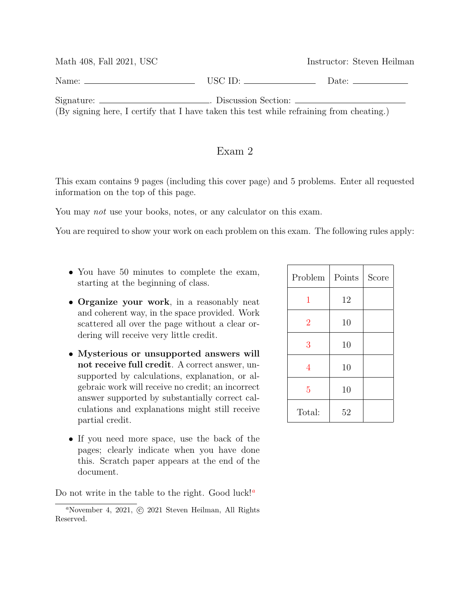| Math 408, Fall 2021, USC                                                                                                                                                     |                             | Instructor: Steven Heilman                                                                                                                                                                                                     |
|------------------------------------------------------------------------------------------------------------------------------------------------------------------------------|-----------------------------|--------------------------------------------------------------------------------------------------------------------------------------------------------------------------------------------------------------------------------|
| Name: $\equiv$                                                                                                                                                               | $\overline{\text{USC ID:}}$ | Date: the contract of the contract of the contract of the contract of the contract of the contract of the contract of the contract of the contract of the contract of the contract of the contract of the contract of the cont |
| Signature: ________________________. Discussion Section: _______________________<br>(By signing here, I certify that I have taken this test while refraining from cheating.) |                             |                                                                                                                                                                                                                                |

## Exam 2

This exam contains 9 pages (including this cover page) and 5 problems. Enter all requested information on the top of this page.

You may *not* use your books, notes, or any calculator on this exam.

You are required to show your work on each problem on this exam. The following rules apply:

- You have 50 minutes to complete the exam, starting at the beginning of class.
- Organize your work, in a reasonably neat and coherent way, in the space provided. Work scattered all over the page without a clear ordering will receive very little credit.
- Mysterious or unsupported answers will not receive full credit. A correct answer, unsupported by calculations, explanation, or algebraic work will receive no credit; an incorrect answer supported by substantially correct calculations and explanations might still receive partial credit.
- If you need more space, use the back of the pages; clearly indicate when you have done this. Scratch paper appears at the end of the document.

Do not write in the table to the right. Good luck!<sup>*a*</sup>

| Problem        | Points | Score |
|----------------|--------|-------|
| 1              | 12     |       |
| $\overline{2}$ | 10     |       |
| 3              | 10     |       |
| 4              | 10     |       |
| $\overline{5}$ | 10     |       |
| Total:         | 52     |       |

<sup>&</sup>lt;sup>a</sup>November 4, 2021, © 2021 Steven Heilman, All Rights Reserved.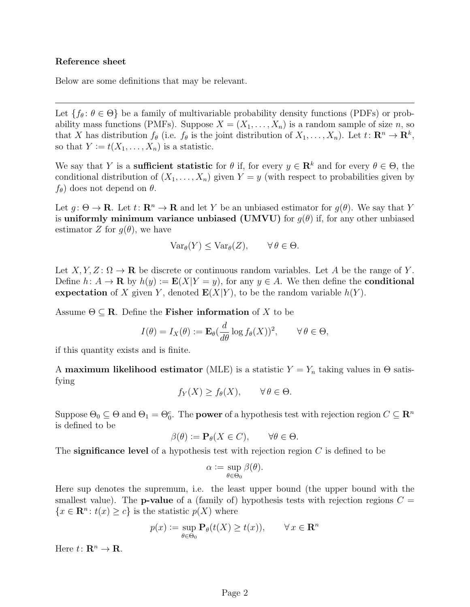## Reference sheet

Below are some definitions that may be relevant.

Let  $\{f_\theta: \theta \in \Theta\}$  be a family of multivariable probability density functions (PDFs) or probability mass functions (PMFs). Suppose  $X = (X_1, \ldots, X_n)$  is a random sample of size n, so that X has distribution  $f_{\theta}$  (i.e.  $f_{\theta}$  is the joint distribution of  $X_1, \ldots, X_n$ ). Let  $t: \mathbb{R}^n \to \mathbb{R}^k$ , so that  $Y := t(X_1, \ldots, X_n)$  is a statistic.

We say that Y is a **sufficient statistic** for  $\theta$  if, for every  $y \in \mathbb{R}^k$  and for every  $\theta \in \Theta$ , the conditional distribution of  $(X_1, \ldots, X_n)$  given  $Y = y$  (with respect to probabilities given by  $f_{\theta}$ ) does not depend on  $\theta$ .

Let  $q: \Theta \to \mathbf{R}$ . Let  $t: \mathbf{R}^n \to \mathbf{R}$  and let Y be an unbiased estimator for  $q(\theta)$ . We say that Y is uniformly minimum variance unbiased (UMVU) for  $g(\theta)$  if, for any other unbiased estimator Z for  $g(\theta)$ , we have

$$
\text{Var}_{\theta}(Y) \leq \text{Var}_{\theta}(Z), \qquad \forall \, \theta \in \Theta.
$$

Let  $X, Y, Z \colon \Omega \to \mathbf{R}$  be discrete or continuous random variables. Let A be the range of Y. Define  $h: A \to \mathbf{R}$  by  $h(y) := \mathbf{E}(X|Y = y)$ , for any  $y \in A$ . We then define the **conditional** expectation of X given Y, denoted  $E(X|Y)$ , to be the random variable  $h(Y)$ .

Assume  $\Theta \subseteq \mathbf{R}$ . Define the **Fisher information** of X to be

$$
I(\theta) = I_X(\theta) := \mathbf{E}_{\theta}(\frac{d}{d\theta}\log f_{\theta}(X))^2, \qquad \forall \theta \in \Theta,
$$

if this quantity exists and is finite.

A maximum likelihood estimator (MLE) is a statistic  $Y = Y_n$  taking values in  $\Theta$  satisfying

$$
f_Y(X) \ge f_\theta(X), \qquad \forall \, \theta \in \Theta.
$$

Suppose  $\Theta_0 \subseteq \Theta$  and  $\Theta_1 = \Theta_0^c$ . The **power** of a hypothesis test with rejection region  $C \subseteq \mathbb{R}^n$ is defined to be

$$
\beta(\theta) := \mathbf{P}_{\theta}(X \in C), \qquad \forall \theta \in \Theta.
$$

The significance level of a hypothesis test with rejection region  $C$  is defined to be

$$
\alpha := \sup_{\theta \in \Theta_0} \beta(\theta).
$$

Here sup denotes the supremum, i.e. the least upper bound (the upper bound with the smallest value). The **p-value** of a (family of) hypothesis tests with rejection regions  $C =$  $\{x \in \mathbf{R}^n : t(x) \geq c\}$  is the statistic  $p(X)$  where

$$
p(x) := \sup_{\theta \in \Theta_0} \mathbf{P}_{\theta}(t(X) \ge t(x)), \qquad \forall x \in \mathbf{R}^n
$$

Here  $t: \mathbf{R}^n \to \mathbf{R}$ .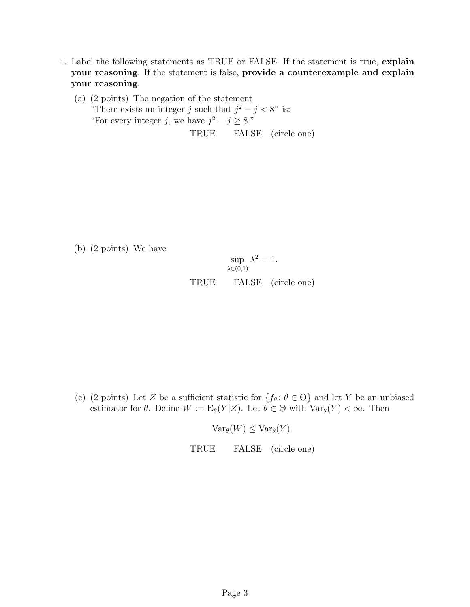- <span id="page-2-0"></span>1. Label the following statements as TRUE or FALSE. If the statement is true, explain your reasoning. If the statement is false, provide a counterexample and explain your reasoning.
	- (a) (2 points) The negation of the statement "There exists an integer j such that  $j^2 - j < 8$ " is: "For every integer j, we have  $j^2 - j \geq 8$ ." TRUE FALSE (circle one)

(b) (2 points) We have

$$
\sup_{\lambda \in (0,1)} \lambda^2 = 1.
$$
  
TRUE 
$$
\text{FALSE} \quad \text{(circle one)}
$$

(c) (2 points) Let Z be a sufficient statistic for  $\{f_\theta: \theta \in \Theta\}$  and let Y be an unbiased estimator for  $\theta$ . Define  $W := \mathbf{E}_{\theta}(Y|Z)$ . Let  $\theta \in \Theta$  with  $\text{Var}_{\theta}(Y) < \infty$ . Then

 $Var_{\theta}(W) \leq Var_{\theta}(Y)$ .

TRUE FALSE (circle one)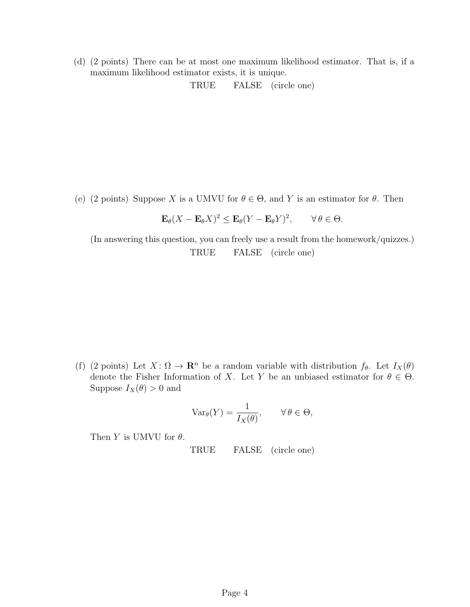(d) (2 points) There can be at most one maximum likelihood estimator. That is, if a maximum likelihood estimator exists, it is unique.

TRUE FALSE (circle one)

(e) (2 points) Suppose X is a UMVU for  $\theta \in \Theta$ , and Y is an estimator for  $\theta$ . Then

$$
\mathbf{E}_{\theta}(X - \mathbf{E}_{\theta}X)^2 \le \mathbf{E}_{\theta}(Y - \mathbf{E}_{\theta}Y)^2, \qquad \forall \theta \in \Theta.
$$

(In answering this question, you can freely use a result from the homework/quizzes.) TRUE FALSE (circle one)

(f) (2 points) Let  $X: \Omega \to \mathbf{R}^n$  be a random variable with distribution  $f_\theta$ . Let  $I_X(\theta)$ denote the Fisher Information of X. Let Y be an unbiased estimator for  $\theta \in \Theta$ . Suppose  $I_X(\theta) > 0$  and

$$
\text{Var}_{\theta}(Y) = \frac{1}{I_X(\theta)}, \qquad \forall \theta \in \Theta,
$$

Then Y is UMVU for  $\theta$ .

TRUE FALSE (circle one)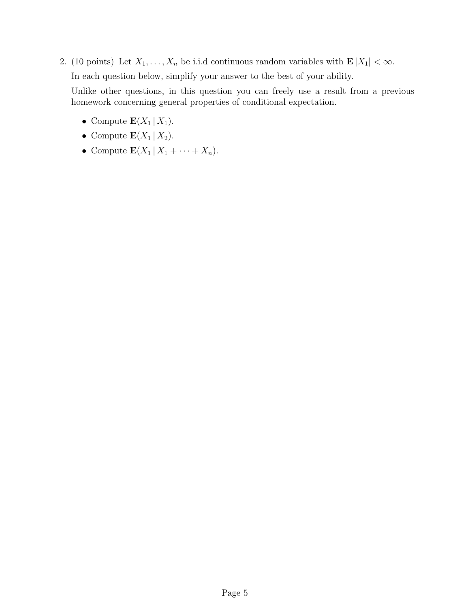- <span id="page-4-0"></span>2. (10 points) Let  $X_1, \ldots, X_n$  be i.i.d continuous random variables with  $\mathbf{E}|X_1| < \infty$ . In each question below, simplify your answer to the best of your ability. Unlike other questions, in this question you can freely use a result from a previous homework concerning general properties of conditional expectation.
	- Compute  $\mathbf{E}(X_1 | X_1)$ .
	- Compute  $\mathbf{E}(X_1 | X_2)$ .
	- Compute  $\mathbf{E}(X_1 | X_1 + \cdots + X_n)$ .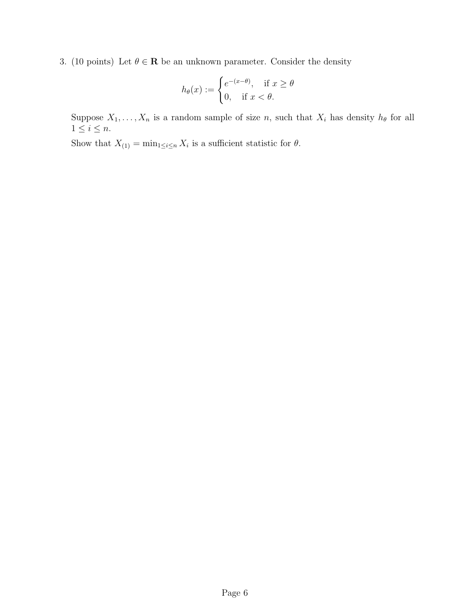<span id="page-5-0"></span>3. (10 points) Let  $\theta \in \mathbb{R}$  be an unknown parameter. Consider the density

$$
h_{\theta}(x) := \begin{cases} e^{-(x-\theta)}, & \text{if } x \ge \theta \\ 0, & \text{if } x < \theta. \end{cases}
$$

Suppose  $X_1, \ldots, X_n$  is a random sample of size n, such that  $X_i$  has density  $h_{\theta}$  for all  $1\leq i\leq n.$ 

Show that  $X_{(1)} = \min_{1 \leq i \leq n} X_i$  is a sufficient statistic for  $\theta$ .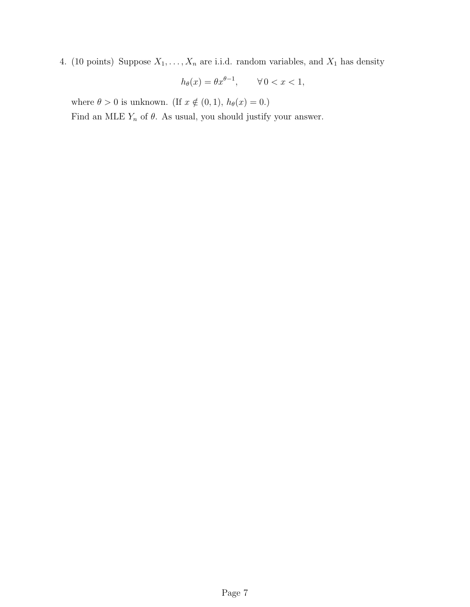<span id="page-6-0"></span>4. (10 points) Suppose  $X_1, \ldots, X_n$  are i.i.d. random variables, and  $X_1$  has density

$$
h_{\theta}(x) = \theta x^{\theta - 1}, \qquad \forall \, 0 < x < 1,
$$

where  $\theta > 0$  is unknown. (If  $x \notin (0, 1)$ ,  $h_{\theta}(x) = 0$ .)

Find an MLE  $Y_n$  of  $\theta$ . As usual, you should justify your answer.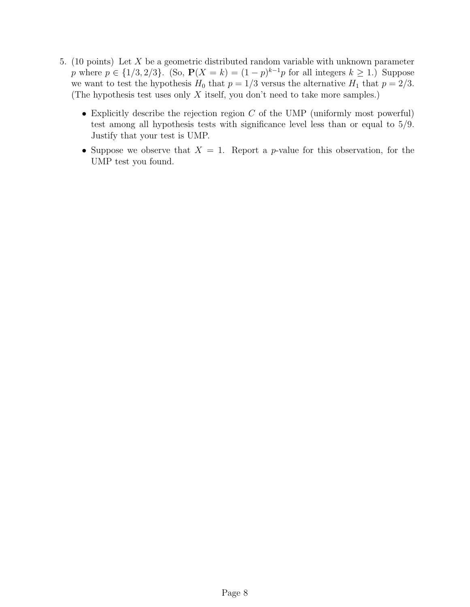- <span id="page-7-0"></span>5. (10 points) Let X be a geometric distributed random variable with unknown parameter p where  $p \in \{1/3, 2/3\}$ . (So,  $P(X = k) = (1 - p)^{k-1}p$  for all integers  $k \ge 1$ .) Suppose we want to test the hypothesis  $H_0$  that  $p = 1/3$  versus the alternative  $H_1$  that  $p = 2/3$ . (The hypothesis test uses only  $X$  itself, you don't need to take more samples.)
	- Explicitly describe the rejection region  $C$  of the UMP (uniformly most powerful) test among all hypothesis tests with significance level less than or equal to 5/9. Justify that your test is UMP.
	- Suppose we observe that  $X = 1$ . Report a *p*-value for this observation, for the UMP test you found.